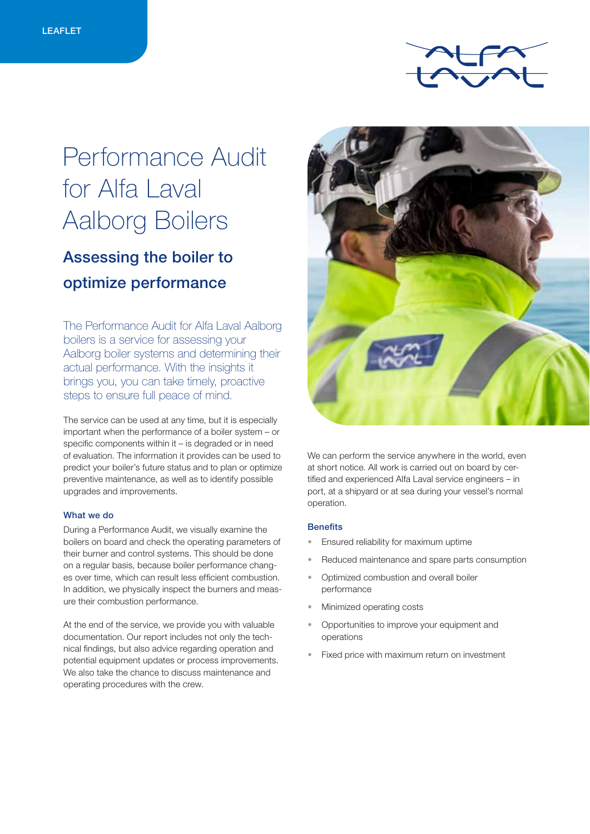

# Performance Audit for Alfa Laval Aalborg Boilers

## Assessing the boiler to optimize performance

The Performance Audit for Alfa Laval Aalborg boilers is a service for assessing your Aalborg boiler systems and determining their actual performance. With the insights it brings you, you can take timely, proactive steps to ensure full peace of mind.

The service can be used at any time, but it is especially important when the performance of a boiler system – or specific components within it – is degraded or in need of evaluation. The information it provides can be used to predict your boiler's future status and to plan or optimize preventive maintenance, as well as to identify possible upgrades and improvements.

#### What we do

During a Performance Audit, we visually examine the boilers on board and check the operating parameters of their burner and control systems. This should be done on a regular basis, because boiler performance changes over time, which can result less efficient combustion. In addition, we physically inspect the burners and measure their combustion performance.

At the end of the service, we provide you with valuable documentation. Our report includes not only the technical findings, but also advice regarding operation and potential equipment updates or process improvements. We also take the chance to discuss maintenance and operating procedures with the crew.



We can perform the service anywhere in the world, even at short notice. All work is carried out on board by certified and experienced Alfa Laval service engineers – in port, at a shipyard or at sea during your vessel's normal operation.

#### **Benefits**

- Ensured reliability for maximum uptime
- Reduced maintenance and spare parts consumption
- Optimized combustion and overall boiler performance
- Minimized operating costs
- Opportunities to improve your equipment and operations
- Fixed price with maximum return on investment